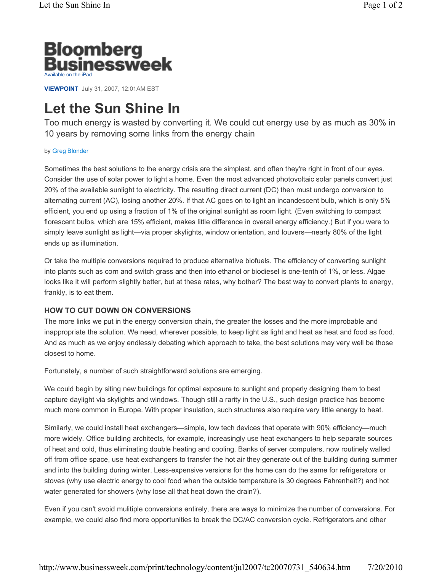

**VIEWPOINT** July 31, 2007, 12:01AM EST

# **Let the Sun Shine In**

Too much energy is wasted by converting it. We could cut energy use by as much as 30% in 10 years by removing some links from the energy chain

#### by Greg Blonder

Sometimes the best solutions to the energy crisis are the simplest, and often they're right in front of our eyes. Consider the use of solar power to light a home. Even the most advanced photovoltaic solar panels convert just 20% of the available sunlight to electricity. The resulting direct current (DC) then must undergo conversion to alternating current (AC), losing another 20%. If that AC goes on to light an incandescent bulb, which is only 5% efficient, you end up using a fraction of 1% of the original sunlight as room light. (Even switching to compact florescent bulbs, which are 15% efficient, makes little difference in overall energy efficiency.) But if you were to simply leave sunlight as light—via proper skylights, window orientation, and louvers—nearly 80% of the light ends up as illumination.

Or take the multiple conversions required to produce alternative biofuels. The efficiency of converting sunlight into plants such as corn and switch grass and then into ethanol or biodiesel is one-tenth of 1%, or less. Algae looks like it will perform slightly better, but at these rates, why bother? The best way to convert plants to energy, frankly, is to eat them.

### **HOW TO CUT DOWN ON CONVERSIONS**

The more links we put in the energy conversion chain, the greater the losses and the more improbable and inappropriate the solution. We need, wherever possible, to keep light as light and heat as heat and food as food. And as much as we enjoy endlessly debating which approach to take, the best solutions may very well be those closest to home.

Fortunately, a number of such straightforward solutions are emerging.

We could begin by siting new buildings for optimal exposure to sunlight and properly designing them to best capture daylight via skylights and windows. Though still a rarity in the U.S., such design practice has become much more common in Europe. With proper insulation, such structures also require very little energy to heat.

Similarly, we could install heat exchangers—simple, low tech devices that operate with 90% efficiency—much more widely. Office building architects, for example, increasingly use heat exchangers to help separate sources of heat and cold, thus eliminating double heating and cooling. Banks of server computers, now routinely walled off from office space, use heat exchangers to transfer the hot air they generate out of the building during summer and into the building during winter. Less-expensive versions for the home can do the same for refrigerators or stoves (why use electric energy to cool food when the outside temperature is 30 degrees Fahrenheit?) and hot water generated for showers (why lose all that heat down the drain?).

Even if you can't avoid mulitiple conversions entirely, there are ways to minimize the number of conversions. For example, we could also find more opportunities to break the DC/AC conversion cycle. Refrigerators and other